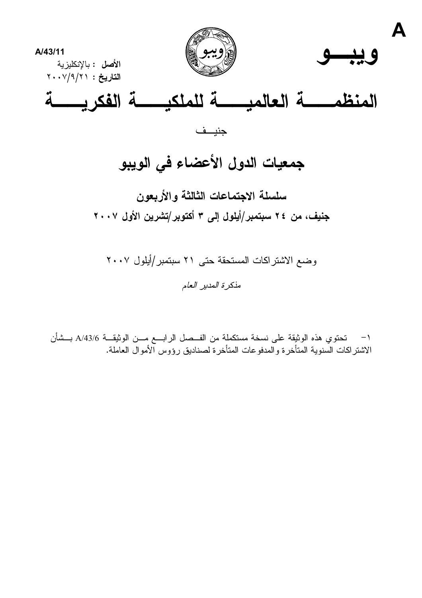

سلسلة الاجتماعات الثالثة والأربعون جنيف، من ٢٤ سبتمبر/أيلول إلى ٣ أكتوبر/تشرين الأول ٢٠٠٧

وضع الاشتراكات المستحقة حتى ٢١ سبتمبر/أيلول ٢٠٠٧ مذكرة المدير العام

١− تحتوي هذه الوثيقة على نسخة مستكملة من الفــصل الرابـــع مـــن الوثيقـــة A/43/6 بـــشأن الاشتراكات السنوية المتأخرة والمدفوعات المتأخرة لصناديق رؤوس الأموال العاملة.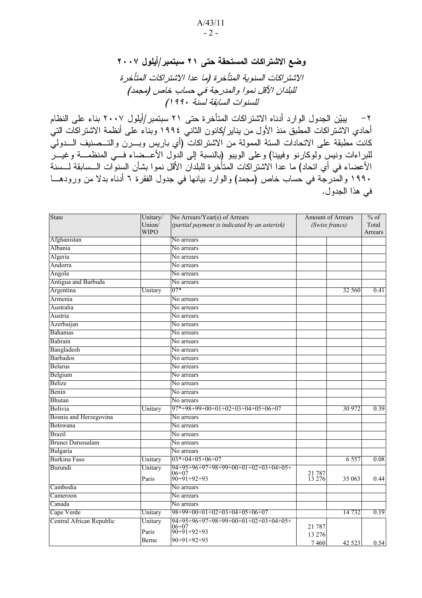وضع الاشتراكات المستحقة حتى ٢١ سبتمبر/أيلول ٢٠٠٧ الاشتراكات السنوية المتأخرة (ما عدا الاشتراكات المتأخرة للبلدان الآقل نموا والمدرجة في حساب خاص (مجمد) للسنوات السابقة لسنة ١٩٩٠)

1 2 " 3 .!' # - - - 0 أحادي الاشتر اكات المطبق منذ الأول من يناير /كانون الثاني ١٩٩٤ وبناء على أنظمة الاشتر اكات التي كانت مطبقة على الاتحادات الستة الممولة من الاشتراكات (أي باريس وبـــرن والتـــصنيف الــــدولي للبراءات ونيس ولوكارنو وفيينا) وعلى الويبو (بالنسبة إلى الدول الأعــضاء فـــي المنظمـــة وغيـــر الأعضاء في أي اتحاد) ما عدا الاشتراكات المتأخرة للبلدان الأقل نموا بشأن السنوات الـــسابقة لـــسنة ١٩٩٠ والمدرجة في حساب خاص (مجمد) والوارد بيانها في جدول الفقرة ٦ أدناه بدلا من ورودهـــا في هذا الجدول.

| State                    | Unitary/<br>Union/ | No Arrears/Year(s) of Arrears<br>(partial payment is indicated by an asterisk) |                  | Amount of Arrears<br>(Swiss francs) | $\frac{1}{\sqrt{6}}$ of<br>Total |
|--------------------------|--------------------|--------------------------------------------------------------------------------|------------------|-------------------------------------|----------------------------------|
|                          | <b>WIPO</b>        |                                                                                |                  |                                     | Arrears                          |
| Afghanistan              |                    | No arrears                                                                     |                  |                                     |                                  |
| Albania                  |                    | No arrears                                                                     |                  |                                     |                                  |
| Algeria                  |                    | No arrears                                                                     |                  |                                     |                                  |
| Andorra                  |                    | No arrears                                                                     |                  |                                     |                                  |
| Angola                   |                    | No arrears                                                                     |                  |                                     |                                  |
| Antigua and Barbuda      |                    | No arrears                                                                     |                  |                                     |                                  |
| Argentina                | Unitary            | $07*$                                                                          |                  | 32 560                              | 0.41                             |
| Armenia                  |                    | No arrears                                                                     |                  |                                     |                                  |
| Australia                |                    | No arrears                                                                     |                  |                                     |                                  |
| Austria                  |                    | No arrears                                                                     |                  |                                     |                                  |
| Azerbaijan               |                    | No arrears                                                                     |                  |                                     |                                  |
| Bahamas                  |                    | No arrears                                                                     |                  |                                     |                                  |
| Bahrain                  |                    | No arrears                                                                     |                  |                                     |                                  |
| Bangladesh               |                    | No arrears                                                                     |                  |                                     |                                  |
| Barbados                 |                    | No arrears                                                                     |                  |                                     |                                  |
| <b>Belarus</b>           |                    | No arrears                                                                     |                  |                                     |                                  |
| Belgium                  |                    | No arrears                                                                     |                  |                                     |                                  |
| Belize                   |                    | No arrears                                                                     |                  |                                     |                                  |
| Benin                    |                    | No arrears                                                                     |                  |                                     |                                  |
| Bhutan                   |                    | No arrears                                                                     |                  |                                     |                                  |
| Bolivia                  | Unitary            | $97*+98+99+00+01+02+03+04+05+06+07$                                            |                  | 30 972                              | 0.39                             |
| Bosnia and Herzegovina   |                    | No arrears                                                                     |                  |                                     |                                  |
| Botswana                 |                    | No arrears                                                                     |                  |                                     |                                  |
| <b>Brazil</b>            |                    | No arrears                                                                     |                  |                                     |                                  |
| Brunei Darussalam        |                    | No arrears                                                                     |                  |                                     |                                  |
| Bulgaria                 |                    | No arrears                                                                     |                  |                                     |                                  |
| Burkina Faso             | Unitary            | $03*+04+05+06+07$                                                              |                  | 6 5 5 7                             | 0.08                             |
| Burundi                  | Unitary            | 94+95+96+97+98+99+00+01+02+03+04+05+                                           |                  |                                     |                                  |
|                          | Paris              | $06+07$<br>90+91+92+93                                                         | 21 787<br>13 276 | 35 063                              | 0.44                             |
| Cambodia                 |                    | No arrears                                                                     |                  |                                     |                                  |
| Cameroon                 |                    | No arrears                                                                     |                  |                                     |                                  |
| Canada                   |                    | No arrears                                                                     |                  |                                     |                                  |
| Cape Verde               | Unitary            | $98+99+00+01+02+03+04+05+06+07$                                                |                  | 14 7 32                             | 0.19                             |
| Central African Republic | Unitary            | 94+95+96+97+98+99+00+01+02+03+04+05+<br>$06 + 07$                              |                  |                                     |                                  |
|                          | Paris              | $90+91+92+93$                                                                  | 21 787           |                                     |                                  |
|                          | Berne              | $90+91+92+93$                                                                  | 13 276           |                                     |                                  |
|                          |                    |                                                                                | 7460             | 42 5 23                             | 0.54                             |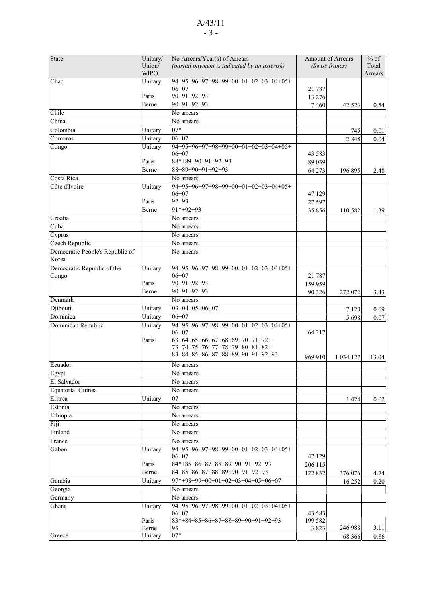## A/43/11 - 3 -

| <b>State</b>                             | Unitary/<br>Union/<br><b>WIPO</b> | No Arrears/Year(s) of Arrears<br>(partial payment is indicated by an asterisk) |          | Amount of Arrears<br>(Swiss francs) | $%$ of<br>Total<br>Arrears |
|------------------------------------------|-----------------------------------|--------------------------------------------------------------------------------|----------|-------------------------------------|----------------------------|
| Chad                                     | Unitary                           | 94+95+96+97+98+99+00+01+02+03+04+05+                                           |          |                                     |                            |
|                                          |                                   | $06 + 07$                                                                      | 21 7 8 7 |                                     |                            |
|                                          | Paris                             | $90+91+92+93$                                                                  | 13 276   |                                     |                            |
|                                          | Berne                             | $90+91+92+93$                                                                  | 7460     | 42 5 23                             | 0.54                       |
| Chile                                    |                                   | No arrears                                                                     |          |                                     |                            |
| China                                    |                                   | No arrears                                                                     |          |                                     |                            |
| Colombia                                 | Unitary                           | $07*$                                                                          |          | 745                                 | 0.01                       |
| Comoros                                  | Unitary                           | $06+07$                                                                        |          | 2 8 4 8                             | 0.04                       |
| Congo                                    | Unitary                           | 94+95+96+97+98+99+00+01+02+03+04+05+                                           |          |                                     |                            |
|                                          |                                   | $06 + 07$                                                                      | 43 5 83  |                                     |                            |
|                                          | Paris                             | 88*+89+90+91+92+93                                                             | 89 039   |                                     |                            |
|                                          | Berne                             | $88+89+90+91+92+93$                                                            | 64 273   | 196 895                             | 2.48                       |
| Costa Rica                               |                                   | No arrears                                                                     |          |                                     |                            |
| Côte d'Ivoire                            | Unitary                           | 94+95+96+97+98+99+00+01+02+03+04+05+                                           |          |                                     |                            |
|                                          |                                   | $06+07$                                                                        | 47 129   |                                     |                            |
|                                          | Paris                             | $92 + 93$                                                                      | 27 597   |                                     |                            |
|                                          | Berne                             | $91*+92+93$                                                                    | 35 856   | 110 582                             | 1.39                       |
| Croatia                                  |                                   | No arrears                                                                     |          |                                     |                            |
| Cuba                                     |                                   | No arrears                                                                     |          |                                     |                            |
| $\overline{C}$ yprus                     |                                   | No arrears                                                                     |          |                                     |                            |
| Czech Republic                           |                                   | No arrears                                                                     |          |                                     |                            |
| Democratic People's Republic of<br>Korea |                                   | No arrears                                                                     |          |                                     |                            |
| Democratic Republic of the               | Unitary                           | 94+95+96+97+98+99+00+01+02+03+04+05+                                           |          |                                     |                            |
| Congo                                    |                                   | $06 + 07$                                                                      | 21 787   |                                     |                            |
|                                          | Paris                             | $90+91+92+93$                                                                  | 159 959  |                                     |                            |
|                                          | Berne                             | $90+91+92+93$                                                                  | 90 326   | 272 072                             | 3.43                       |
| Denmark                                  |                                   | No arrears                                                                     |          |                                     |                            |
| Djibouti                                 | Unitary                           | $03+04+05+06+07$                                                               |          | 7 1 2 0                             | 0.09                       |
| Dominica                                 | Unitary                           | $06+07$                                                                        |          | 5 6 9 8                             | 0.07                       |
| Dominican Republic                       | Unitary                           | 94+95+96+97+98+99+00+01+02+03+04+05+                                           |          |                                     |                            |
|                                          |                                   | $06 + 07$                                                                      | 64 217   |                                     |                            |
|                                          | Paris                             | $63+64+65+66+67+68+69+70+71+72+$<br>73+74+75+76+77+78+79+80+81+82+             |          |                                     |                            |
|                                          |                                   | 83+84+85+86+87+88+89+90+91+92+93                                               |          |                                     |                            |
|                                          |                                   |                                                                                | 969 910  | 1 0 34 1 27                         | 13.04                      |
| Ecuador                                  |                                   | No arrears                                                                     |          |                                     |                            |
| Egypt                                    |                                   | No arrears                                                                     |          |                                     |                            |
| El Salvador                              |                                   | No arrears                                                                     |          |                                     |                            |
| Equatorial Guinea                        |                                   | No arrears                                                                     |          |                                     |                            |
| Eritrea                                  | Unitary                           | 07                                                                             |          | 1 4 2 4                             | 0.02                       |
| Estonia                                  |                                   | No arrears                                                                     |          |                                     |                            |
| Ethiopia                                 |                                   | No arrears                                                                     |          |                                     |                            |
| Fiji                                     |                                   | No arrears                                                                     |          |                                     |                            |
| Finland                                  |                                   | No arrears                                                                     |          |                                     |                            |
| France                                   |                                   | No arrears                                                                     |          |                                     |                            |
| Gabon                                    | Unitary                           | 94+95+96+97+98+99+00+01+02+03+04+05+<br>$06+07$                                | 47 129   |                                     |                            |
|                                          | Paris                             | 84*+85+86+87+88+89+90+91+92+93                                                 | 206 115  |                                     |                            |
|                                          | Berne                             | 84+85+86+87+88+89+90+91+92+93                                                  | 122 832  | 376 076                             | 4.74                       |
| Gambia                                   | Unitary                           | $97*+98+99+00+01+02+03+04+05+06+07$                                            |          | 16 25 2                             | 0.20                       |
| Georgia                                  |                                   | No arrears                                                                     |          |                                     |                            |
| Germany                                  |                                   | No arrears                                                                     |          |                                     |                            |
|                                          |                                   |                                                                                |          |                                     |                            |
| Ghana                                    | Unitary                           | 94+95+96+97+98+99+00+01+02+03+04+05+<br>$06+07$                                | 43 5 83  |                                     |                            |
|                                          | Paris                             | 83*+84+85+86+87+88+89+90+91+92+93                                              | 199 582  |                                     |                            |
|                                          | Berne                             | 93                                                                             | 3 8 2 3  | 246 988                             | 3.11                       |
| Greece                                   | Unitary                           | $07*$                                                                          |          | 68 3 66                             | 0.86                       |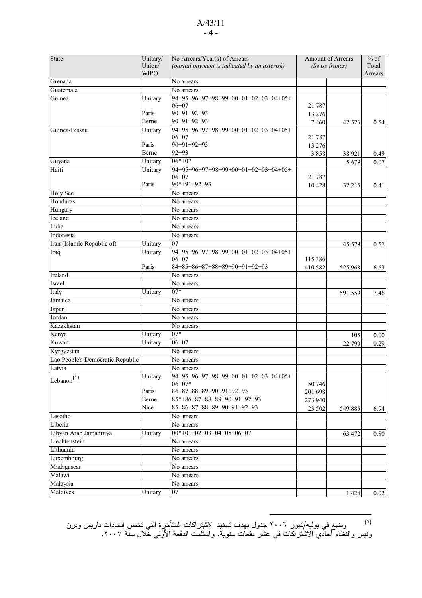#### A/43/11 - 4 -

| <b>State</b>                     | Unitary/    | No Arrears/Year(s) of Arrears                 |          | Amount of Arrears | $%$ of   |
|----------------------------------|-------------|-----------------------------------------------|----------|-------------------|----------|
|                                  | Union/      | (partial payment is indicated by an asterisk) |          | (Swiss francs)    | Total    |
|                                  | <b>WIPO</b> |                                               |          |                   | Arrears  |
| Grenada                          |             | $\overline{No}$ arrears                       |          |                   |          |
| Guatemala                        |             | No arrears                                    |          |                   |          |
| Guinea                           | Unitary     | 94+95+96+97+98+99+00+01+02+03+04+05+          |          |                   |          |
|                                  |             | $06 + 07$                                     | 21 7 8 7 |                   |          |
|                                  | Paris       | $90+91+92+93$                                 | 13 276   |                   |          |
|                                  | Berne       | $90+91+92+93$                                 | 7460     | 42 5 23           | 0.54     |
| Guinea-Bissau                    | Unitary     | $94+95+96+97+98+99+00+01+02+03+04+05+$        |          |                   |          |
|                                  |             | $06+07$                                       | 21 7 8 7 |                   |          |
|                                  | Paris       | 90+91+92+93                                   | 13 276   |                   |          |
|                                  | Berne       | $92 + 93$                                     | 3858     | 38 9 21           | 0.49     |
| Guyana                           | Unitary     | $06*+07$                                      |          | 5 6 7 9           | 0.07     |
| Haiti                            | Unitary     | $94+95+96+97+98+99+00+01+02+03+04+05+$        |          |                   |          |
|                                  |             | $06 + 07$                                     | 21 787   |                   |          |
|                                  | Paris       | $90*+91+92+93$                                | 10428    | 32 215            | 0.41     |
| <b>Holy See</b>                  |             | No arrears                                    |          |                   |          |
| Honduras                         |             | No arrears                                    |          |                   |          |
| Hungary                          |             | No arrears                                    |          |                   |          |
| Iceland                          |             | No arrears                                    |          |                   |          |
| India                            |             | No arrears                                    |          |                   |          |
| Indonesia                        |             | No arrears                                    |          |                   |          |
| Iran (Islamic Republic of)       | Unitary     | 07                                            |          | 45 5 7 9          | 0.57     |
| Iraq                             | Unitary     | 94+95+96+97+98+99+00+01+02+03+04+05+          |          |                   |          |
|                                  |             | $06 + 07$                                     | 115 386  |                   |          |
|                                  | Paris       | 84+85+86+87+88+89+90+91+92+93                 | 410 582  | 525 968           | 6.63     |
| Ireland                          |             | $\overline{No}$ arrears                       |          |                   |          |
| Israel                           |             | No arrears                                    |          |                   |          |
| Italy                            | Unitary     | $07*$                                         |          | 591 559           | 7.46     |
| Jamaica                          |             | No arrears                                    |          |                   |          |
| Japan                            |             | No arrears                                    |          |                   |          |
| Jordan                           |             | No arrears                                    |          |                   |          |
| Kazakhstan                       |             | No arrears                                    |          |                   |          |
| Kenya                            | Unitary     | $07*$                                         |          | 105               | 0.00     |
| Kuwait                           | Unitary     | $06 + 07$                                     |          | 22 790            | 0.29     |
| Kyrgyzstan                       |             | No arrears                                    |          |                   |          |
| Lao People's Democratic Republic |             | No arrears                                    |          |                   |          |
| Latvia                           |             | No arrears                                    |          |                   |          |
|                                  | Unitary     | 94+95+96+97+98+99+00+01+02+03+04+05+          |          |                   |          |
| $\left $ Lebanon $^{(1)}$        |             | $06+07*$                                      | 50 746   |                   |          |
|                                  | Paris       | $86+87+88+89+90+91+92+93$                     | 201 698  |                   |          |
|                                  | Berne       | $85*+86+87+88+89+90+91+92+93$                 | 273 940  |                   |          |
|                                  | Nice        | $85+86+87+88+89+90+91+92+93$                  | 23 502   | 549 886           | 6.94     |
| Lesotho                          |             | No arrears                                    |          |                   |          |
| Liberia                          |             | No arrears                                    |          |                   |          |
| Libyan Arab Jamahiriya           | Unitary     | $00*+01+02+03+04+05+06+07$                    |          | 63 472            | $0.80\,$ |
| Liechtenstein                    |             | No arrears                                    |          |                   |          |
| Lithuania                        |             | No arrears                                    |          |                   |          |
| Luxembourg                       |             | No arrears                                    |          |                   |          |
| Madagascar                       |             | No arrears                                    |          |                   |          |
| Malawi                           |             | No arrears                                    |          |                   |          |
| Malaysia                         |             | No arrears                                    |          |                   |          |
| Maldives                         | Unitary     | 07                                            |          | 1424              | $0.02\,$ |
|                                  |             |                                               |          |                   |          |

<sup>(י)</sup> وضبع في يوليه/تموز ٢٠٠٦ جدول بهدف تسديد الاشنزر اكات المتأخرِ ة التي تخص اتحادات باريس وبرن ونيس والنظام أحاّدي الاشّتراكات في عشر دفعات سنوية. واستلمت الدفعة الأولى خّلال سنة ٢٠٠٧.

 $\overline{a}$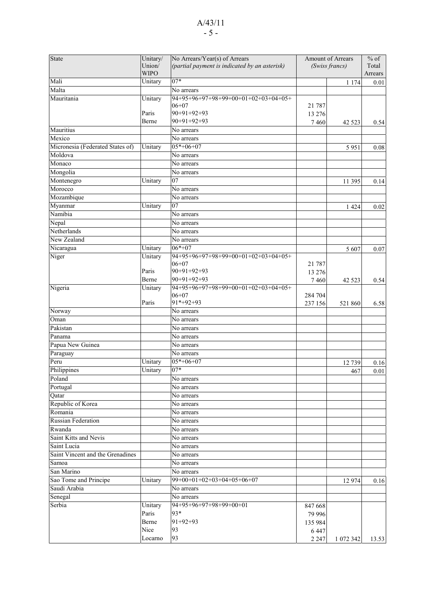## A/43/11 - 5 -

| State                            | Unitary/    | No Arrears/Year(s) of Arrears                 | Amount of Arrears |                | $%$ of  |
|----------------------------------|-------------|-----------------------------------------------|-------------------|----------------|---------|
|                                  | Union/      | (partial payment is indicated by an asterisk) |                   | (Swiss francs) | Total   |
|                                  | <b>WIPO</b> |                                               |                   |                | Arrears |
| Mali                             | Unitary     | $07*$                                         |                   | 1 1 7 4        | 0.01    |
| Malta                            |             | No arrears                                    |                   |                |         |
| Mauritania                       | Unitary     | 94+95+96+97+98+99+00+01+02+03+04+05+          |                   |                |         |
|                                  |             | $06 + 07$                                     | 21 787            |                |         |
|                                  | Paris       | 90+91+92+93                                   | 13 276            |                |         |
|                                  | Berne       | $90+91+92+93$                                 | 7460              | 42 5 23        | 0.54    |
| Mauritius                        |             | No arrears                                    |                   |                |         |
| Mexico                           |             | No arrears                                    |                   |                |         |
| Micronesia (Federated States of) | Unitary     | $05*+06+07$                                   |                   | 5951           | 0.08    |
| Moldova                          |             | No arrears                                    |                   |                |         |
| Monaco                           |             | No arrears                                    |                   |                |         |
| Mongolia                         |             | No arrears                                    |                   |                |         |
| Montenegro                       | Unitary     | 07                                            |                   | 11 395         | 0.14    |
| Morocco                          |             | No arrears                                    |                   |                |         |
| Mozambique                       |             | No arrears                                    |                   |                |         |
| Myanmar                          | Unitary     | 07                                            |                   | 1 4 2 4        | 0.02    |
| Namibia                          |             | No arrears                                    |                   |                |         |
| Nepal                            |             | No arrears                                    |                   |                |         |
| Netherlands                      |             | No arrears                                    |                   |                |         |
|                                  |             |                                               |                   |                |         |
| New Zealand                      |             | No arrears                                    |                   |                |         |
| Nicaragua                        | Unitary     | $06*+07$                                      |                   | 5 607          | 0.07    |
| Niger                            | Unitary     | 94+95+96+97+98+99+00+01+02+03+04+05+          |                   |                |         |
|                                  | Paris       | $06 + 07$                                     | 21 787            |                |         |
|                                  |             | $90+91+92+93$                                 | 13 276            |                |         |
|                                  | Berne       | $90+91+92+93$                                 | 7460              | 42 5 23        | 0.54    |
| Nigeria                          | Unitary     | 94+95+96+97+98+99+00+01+02+03+04+05+          |                   |                |         |
|                                  | Paris       | $06 + 07$<br>91*+92+93                        | 284 704           |                |         |
|                                  |             |                                               | 237 156           | 521 860        | 6.58    |
| Norway                           |             | No arrears                                    |                   |                |         |
| Oman                             |             | No arrears                                    |                   |                |         |
| Pakistan                         |             | No arrears                                    |                   |                |         |
| Panama                           |             | No arrears                                    |                   |                |         |
| Papua New Guinea                 |             | No arrears                                    |                   |                |         |
| Paraguay                         |             | No arrears                                    |                   |                |         |
| Peru                             | Unitary     | $05*+06+07$                                   |                   | 12739          | 0.16    |
| Philippines                      | Unitary     | $07*$                                         |                   | 467            | 0.01    |
| Poland                           |             | No arrears                                    |                   |                |         |
| Portugal                         |             | No arrears                                    |                   |                |         |
| Qatar                            |             | No arrears                                    |                   |                |         |
| Republic of Korea                |             | No arrears                                    |                   |                |         |
| Romania                          |             | No arrears                                    |                   |                |         |
| Russian Federation               |             | No arrears                                    |                   |                |         |
| Rwanda                           |             | No arrears                                    |                   |                |         |
| Saint Kitts and Nevis            |             | No arrears                                    |                   |                |         |
| Saint Lucia                      |             | No arrears                                    |                   |                |         |
| Saint Vincent and the Grenadines |             | No arrears                                    |                   |                |         |
| Samoa                            |             | No arrears                                    |                   |                |         |
| San Marino                       |             | No arrears                                    |                   |                |         |
| Sao Tome and Principe            | Unitary     | 99+00+01+02+03+04+05+06+07                    |                   |                |         |
| Saudi Arabia                     |             |                                               |                   | 12 974         | 0.16    |
|                                  |             | No arrears                                    |                   |                |         |
| Senegal                          |             | $\overline{N}$ o arrears                      |                   |                |         |
| Serbia                           | Unitary     | 94+95+96+97+98+99+00+01                       | 847 668           |                |         |
|                                  | Paris       | 93*                                           | 79 996            |                |         |
|                                  | Berne       | $91+92+93$                                    | 135 984           |                |         |
|                                  | Nice        | 93                                            | 6 4 4 7           |                |         |
|                                  | Locarno     | 93                                            | 2 2 4 7           | 1 072 342      | 13.53   |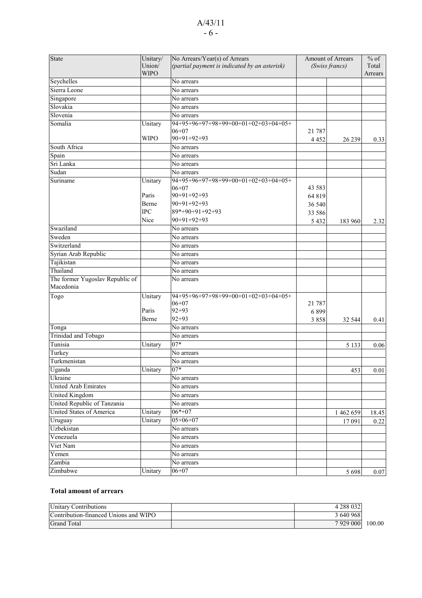## A/43/11 - 6 -

| State                                        | Unitary/<br>Union/<br><b>WIPO</b> | No Arrears/Year(s) of Arrears<br>(partial payment is indicated by an asterisk) |          | Amount of Arrears<br>(Swiss francs) | $%$ of<br>Total<br>Arrears |
|----------------------------------------------|-----------------------------------|--------------------------------------------------------------------------------|----------|-------------------------------------|----------------------------|
| Seychelles                                   |                                   | No arrears                                                                     |          |                                     |                            |
| Sierra Leone                                 |                                   | No arrears                                                                     |          |                                     |                            |
| Singapore                                    |                                   | No arrears                                                                     |          |                                     |                            |
| Slovakia                                     |                                   | No arrears                                                                     |          |                                     |                            |
| Slovenia                                     |                                   | No arrears                                                                     |          |                                     |                            |
| Somalia                                      | Unitary                           |                                                                                |          |                                     |                            |
|                                              |                                   | $06 + 07$                                                                      | 21 7 8 7 |                                     |                            |
|                                              | <b>WIPO</b>                       | $90+91+92+93$                                                                  | 4 4 5 2  | 26 239                              | 0.33                       |
| South Africa                                 |                                   | No arrears                                                                     |          |                                     |                            |
| Spain                                        |                                   | No arrears                                                                     |          |                                     |                            |
| Sri Lanka                                    |                                   | No arrears                                                                     |          |                                     |                            |
| Sudan                                        |                                   | No arrears                                                                     |          |                                     |                            |
| Suriname                                     | Unitary                           | 94+95+96+97+98+99+00+01+02+03+04+05+                                           |          |                                     |                            |
|                                              |                                   | $06+07$                                                                        | 43 5 83  |                                     |                            |
|                                              | Paris                             | $90+91+92+93$                                                                  | 64 819   |                                     |                            |
|                                              | Berne                             | $90+91+92+93$                                                                  | 36 540   |                                     |                            |
|                                              | <b>IPC</b>                        | 89*+90+91+92+93<br>$90+91+92+93$                                               | 33 586   |                                     |                            |
|                                              | Nice                              |                                                                                | 5 4 3 2  | 183 960                             | 2.32                       |
| Swaziland                                    |                                   | No arrears                                                                     |          |                                     |                            |
| Sweden                                       |                                   | No arrears                                                                     |          |                                     |                            |
| Switzerland                                  |                                   | No arrears                                                                     |          |                                     |                            |
| Syrian Arab Republic                         |                                   | No arrears                                                                     |          |                                     |                            |
| Tajikistan                                   |                                   | No arrears                                                                     |          |                                     |                            |
| Thailand                                     |                                   | No arrears                                                                     |          |                                     |                            |
| The former Yugoslav Republic of<br>Macedonia |                                   | No arrears                                                                     |          |                                     |                            |
| Togo                                         | Unitary                           | $94+95+96+97+98+99+00+01+02+03+04+05+$                                         |          |                                     |                            |
|                                              |                                   | $06 + 07$                                                                      | 21 7 8 7 |                                     |                            |
|                                              | Paris                             | $92 + 93$                                                                      | 6899     |                                     |                            |
|                                              | Berne                             | $92 + 93$                                                                      | 3858     | 32 544                              | 0.41                       |
| Tonga                                        |                                   | No arrears                                                                     |          |                                     |                            |
| Trinidad and Tobago                          |                                   | No arrears                                                                     |          |                                     |                            |
| Tunisia                                      | Unitary                           | $07*$                                                                          |          | 5 1 3 3                             | 0.06                       |
| Turkey                                       |                                   | No arrears                                                                     |          |                                     |                            |
| Turkmenistan                                 |                                   | No arrears                                                                     |          |                                     |                            |
| Uganda                                       | Unitary                           | $07*$                                                                          |          | 453                                 | 0.01                       |
| Ukraine                                      |                                   | No arrears                                                                     |          |                                     |                            |
| United Arab Emirates                         |                                   | No arrears                                                                     |          |                                     |                            |
| United Kingdom                               |                                   | No arrears                                                                     |          |                                     |                            |
| United Republic of Tanzania                  |                                   | No arrears                                                                     |          |                                     |                            |
| <b>United States of America</b>              | Unitary                           | $06*+07$                                                                       |          | 1 462 659                           | 18.45                      |
| Uruguay                                      | Unitary                           | $05+06+07$                                                                     |          | 17 091                              | 0.22                       |
| Uzbekistan                                   |                                   | No arrears                                                                     |          |                                     |                            |
| Venezuela                                    |                                   | No arrears                                                                     |          |                                     |                            |
| Viet Nam                                     |                                   | No arrears                                                                     |          |                                     |                            |
| Yemen                                        |                                   | No arrears                                                                     |          |                                     |                            |
| Zambia                                       |                                   | No arrears                                                                     |          |                                     |                            |
| Zimbabwe                                     | Unitary                           | $06 + 07$                                                                      |          | 5 6 9 8                             | $0.07\,$                   |

#### **Total amount of arrears**

| <b>Unitary Contributions</b>          | 4 288 032 |        |
|---------------------------------------|-----------|--------|
| Contribution-financed Unions and WIPO | 3 640 968 |        |
| <b>Grand Total</b>                    | 7929 000  | 100.00 |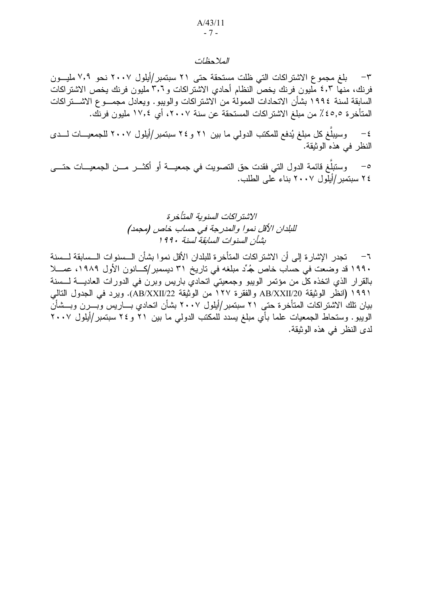#### الملاحظات

بلغ مجموع الاشتراكات التي ظلت مستحقة حتى ٢١ سبتمبر/أيلول ٢٠٠٧ نحو ٧,٩ مليــون  $-\tau$ فرنك، منها ٤٫٣ مليون فرنك يخص النظام أحادي الاشتراكات و٣٫٦ مليون فرنك يخص الاشتراكات السابقة لسنة ١٩٩٤ بشأن الاتحادات الممولة من الاشتراكات والويبو. ويعادل مجمـــو ع الاشــــتراكات المتأخر ة ٤٥,٥٪ من مبلغ الاشتر اكات المستحقة عن سنة ٢٠٠٧، أي ١٧,٤ مليون فرنك.

وسيبلّغ كل مبلغ يُدفع للمكتب الدولي ما بين ٢١ و ٢٤ سبتمبر/أيلول ٢٠٠٧ للجمعيـــات لـــدى  $-\xi$ النظر في هذه الوثيقة.

وستبلَّغ قائمة الدول التي فقدت حق التصويت في جمعيـــة أو أكثـــر مـــن الجمعيـــات حتــــى  $-$  0 ٢٤ سبتمبر /أيلول ٢٠٠٧ بناء على الطلب.

٦— تجدر الإشار ة إلى أن الاشتراكات المتأخر ة للبلدان الأقل نموا بشأن الـــسنوات الـــسابقة لـــسنة ١٩٩٠ قد وضعت في حساب خاص جُدِّد مبلغه في ناريخ ٣١ ديسمبر/كـــانون الأول ١٩٨٩، عصــلا بالقرار الذي انخذه كل من مؤتمر الويبو وجمعيتى اتحادي باريس وبرن فى الدورات العاديــــة لــــسنة ١٩٩١ (انظر الوثيقة AB/XXII/20 والفقرة ١٢٧ من الوثيقة AB/XXII/22). ويرد في الجدول التالي بيان تلك الاشتراكات المتأخرة حتى ٢١ سبتمبر/أيلول ٢٠٠٧ بشأن اتحادي بـــاريس وبـــرن وبـــشأن الويبو. وستحاط الجمعيات علما بأي مبلغ يسدد للمكتب الدولي ما بين ٢١ و ٢٤ سبتمبر/أيلول ٢٠٠٧ لدى النظر في هذه الوثيقة.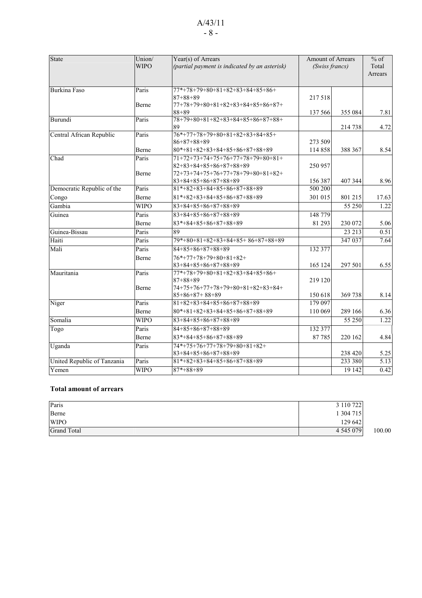## A/43/11 - 8 -

| State                       | Union/<br><b>WIPO</b> | Year(s) of Arrears<br>(partial payment is indicated by an asterisk)                                 | Amount of Arrears<br>(Swiss francs) |         | $%$ of<br>Total<br>Arrears |
|-----------------------------|-----------------------|-----------------------------------------------------------------------------------------------------|-------------------------------------|---------|----------------------------|
| Burkina Faso                | Paris<br>Berne        | 77*+78+79+80+81+82+83+84+85+86+<br>$87 + 88 + 89$<br>77+78+79+80+81+82+83+84+85+86+87+              | 217518                              |         |                            |
|                             |                       | $88 + 89$                                                                                           | 137 566                             | 355 084 | 7.81                       |
| Burundi                     | Paris                 | 78+79+80+81+82+83+84+85+86+87+88+<br>89                                                             |                                     | 214 738 | 4.72                       |
| Central African Republic    | Paris                 | $76*+77+78+79+80+81+82+83+84+85+$<br>$86+87+88+89$                                                  | 273 509                             |         |                            |
|                             | Berne                 | $80*+81+82+83+84+85+86+87+88+89$                                                                    | 114 858                             | 388 367 | 8.54                       |
| Chad                        | Paris<br>Berne        | 71+72+73+74+75+76+77+78+79+80+81+<br>$82+83+84+85+86+87+88+89$<br>72+73+74+75+76+77+78+79+80+81+82+ | 250 957                             |         |                            |
|                             |                       | 83+84+85+86+87+88+89                                                                                | 156 387                             | 407 344 | 8.96                       |
| Democratic Republic of the  | Paris                 | $81*+82+83+84+85+86+87+88+89$                                                                       | 500 200                             |         |                            |
| Congo                       | Berne                 | $81*+82+83+84+85+86+87+88+89$                                                                       | 301 015                             | 801 215 | 17.63                      |
| Gambia                      | <b>WIPO</b>           | 83+84+85+86+87+88+89                                                                                |                                     | 55 250  | 1.22                       |
| Guinea                      | Paris                 | 83+84+85+86+87+88+89                                                                                | 148779                              |         |                            |
|                             | Berne                 | $83*+84+85+86+87+88+89$                                                                             | 81 293                              | 230 072 | 5.06                       |
| Guinea-Bissau               | Paris                 | 89                                                                                                  |                                     | 23 213  | 0.51                       |
| Haiti                       | Paris                 | 79*+80+81+82+83+84+85+86+87+88+89                                                                   |                                     | 347 037 | 7.64                       |
| Mali                        | Paris                 | 84+85+86+87+88+89                                                                                   | 132 377                             |         |                            |
|                             | Berne                 | $76*+77+78+79+80+81+82+$<br>$83+84+85+86+87+88+89$                                                  | 165 124                             | 297 501 | 6.55                       |
| Mauritania                  | Paris<br>Berne        | 77*+78+79+80+81+82+83+84+85+86+<br>$87 + 88 + 89$<br>74+75+76+77+78+79+80+81+82+83+84+              | 219 120                             |         |                            |
|                             |                       | $85 + 86 + 87 + 88 + 89$                                                                            | 150 618                             | 369738  | 8.14                       |
| Niger                       | Paris                 | $81+82+83+84+85+86+87+88+89$                                                                        | 179 097                             |         |                            |
|                             | Berne                 | $80*+81+82+83+84+85+86+87+88+89$                                                                    | 110 069                             | 289 166 | 6.36                       |
| Somalia                     | <b>WIPO</b>           | 83+84+85+86+87+88+89                                                                                |                                     | 55 250  | 1.22                       |
| Togo                        | Paris                 | $84 + 85 + 86 + 87 + 88 + 89$                                                                       | 132 377                             |         |                            |
|                             | Berne                 | 83*+84+85+86+87+88+89                                                                               | 87785                               | 220 162 | 4.84                       |
| Uganda                      | Paris                 | 74*+75+76+77+78+79+80+81+82+                                                                        |                                     |         |                            |
|                             |                       | $83+84+85+86+87+88+89$                                                                              |                                     | 238 420 | 5.25                       |
| United Republic of Tanzania | Paris                 | $81*+82+83+84+85+86+87+88+89$                                                                       |                                     | 233 380 | 5.13                       |
| Yemen                       | <b>WIPO</b>           | $87*+88+89$                                                                                         |                                     | 19 142  | 0.42                       |

#### **Total amount of arrears**

| Paris              | 3 110 722     |        |
|--------------------|---------------|--------|
| Berne              | 1304715       |        |
| <b>WIPO</b>        | 129 642       |        |
| <b>Grand Total</b> | 4 5 4 5 0 7 9 | 100.00 |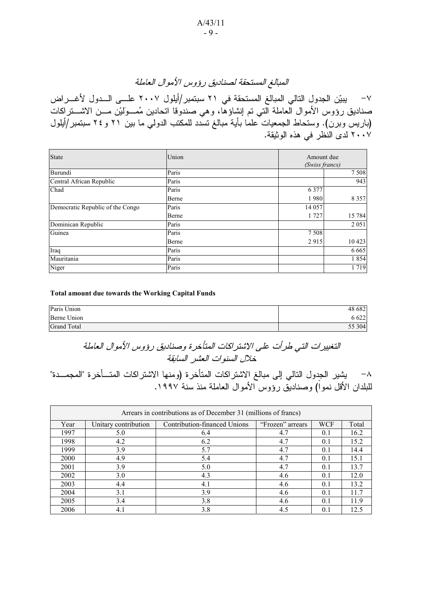# المبالغ المستحقة لصناديق رؤوس الأموال العاملة

~ يبيّن الجدول النتالي المبالغ المستحقة في ٢١ سبتمبر /أيلول ٢٠٠٧ علـــى الـــدول لأغــــر اض صناديق روَّوس الأموال العاملة الَّتي تم إنشاؤها، وهي صندوقا اتحادين مُمــولَّيْن مـــن الاشـــنز اكات (باريس وبرن). وستحاط الجمعيات علما بأية مبالغ تسدد للمكتب الدولي ما بين ٢١ و ٢٤ سبتمبر/أيلول ٢٠٠٧ لدى النظر في هذه الوثيقة.

| <b>State</b>                     | Union | Amount due<br>(Swiss francs) |
|----------------------------------|-------|------------------------------|
| Burundi                          | Paris | 7508                         |
| Central African Republic         | Paris | 943                          |
| Chad                             | Paris | 6 3 7 7                      |
|                                  | Berne | 8 3 5 7<br>1980              |
| Democratic Republic of the Congo | Paris | 14 057                       |
|                                  | Berne | 15 784<br>1 727              |
| Dominican Republic               | Paris | 2 0 5 1                      |
| Guinea                           | Paris | 7 5 0 8                      |
|                                  | Berne | 10 423<br>2915               |
| Iraq                             | Paris | 6 6 6 5                      |
| Mauritania                       | Paris | 1854                         |
| Niger                            | Paris | 1719                         |

#### **Total amount due towards the Working Capital Funds**

| Paris Union        | 48 682 |
|--------------------|--------|
| Berne Union        | 6 622  |
| <b>Grand Total</b> | 55 304 |

## التغييرات التي طرأت على الاشتراكات المتأخرة وصناديق رؤوس الأموال العاملة .<br>خلال السنوات العشر السابقة

^– يشير الجدول النالي إلى مبالغ الاشتر اكات المتأخر ة (ومنـها الاشتر اكات المتـــأخر ة "المجمـــدة" للبلدان الأقل نموا) وصناديق رؤوس الأموال العاملة منذ سنة ١٩٩٧.

| Arrears in contributions as of December 31 (millions of francs) |                      |                              |                  |            |       |  |
|-----------------------------------------------------------------|----------------------|------------------------------|------------------|------------|-------|--|
| Year                                                            | Unitary contribution | Contribution-financed Unions | "Frozen" arrears | <b>WCF</b> | Total |  |
| 1997                                                            | 5.0                  | 6.4                          | 4.7              | 0.1        | 16.2  |  |
| 1998                                                            | 4.2                  | 6.2                          | 4.7              | 0.1        | 15.2  |  |
| 1999                                                            | 3.9                  | 5.7                          | 4.7              | 0.1        | 14.4  |  |
| 2000                                                            | 4.9                  | 5.4                          | 4.7              | 0.1        | 15.1  |  |
| 2001                                                            | 3.9                  | 5.0                          | 4.7              | 0.1        | 13.7  |  |
| 2002                                                            | 3.0                  | 4.3                          | 4.6              | 0.1        | 12.0  |  |
| 2003                                                            | 4.4                  | 4.1                          | 4.6              | 0.1        | 13.2  |  |
| 2004                                                            | 3.1                  | 3.9                          | 4.6              | 0.1        | 11.7  |  |
| 2005                                                            | 3.4                  | 3.8                          | 4.6              | 0.1        | 11.9  |  |
| 2006                                                            | 4.1                  | 3.8                          | 4.5              | 0.1        | 12.5  |  |